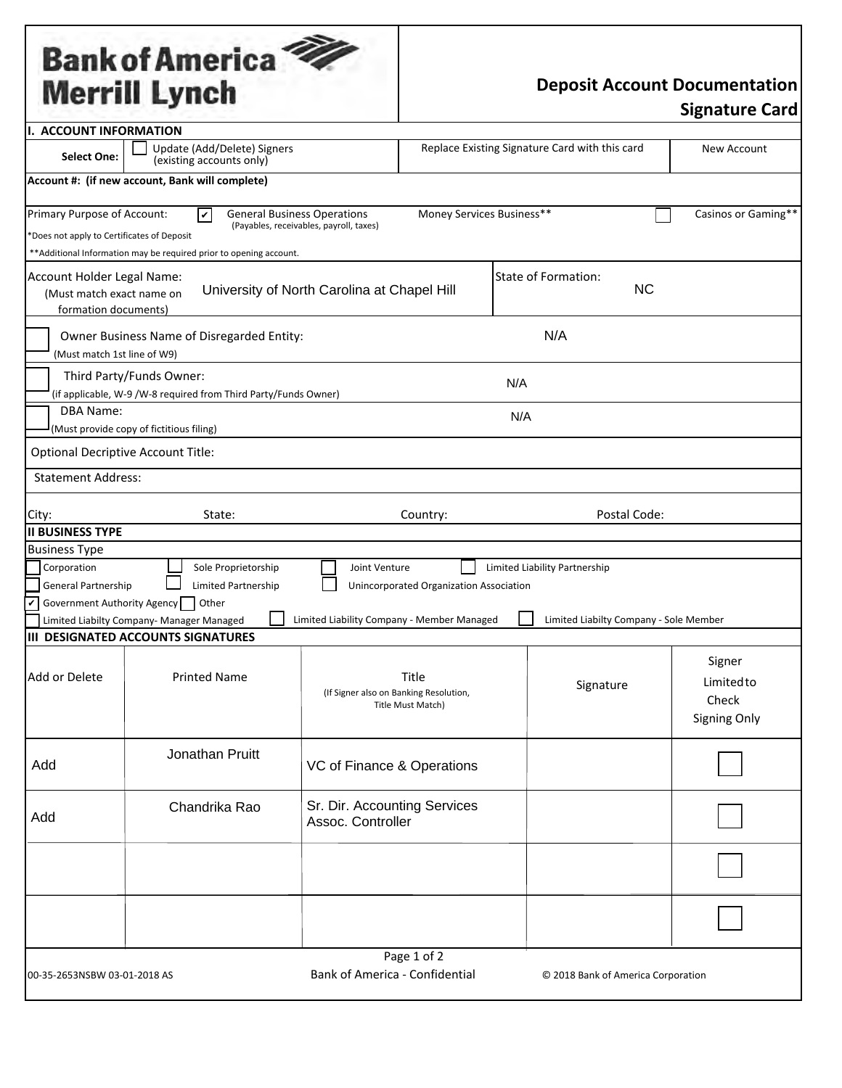## Bank of America<sup></sup>

## **Deposit Account Documentation**

| I. ACCOUNT INFORMATION                                                                             |                                                                                                                              |                                                             |                                                |                                                                         |                                                     |  |  |  |  |
|----------------------------------------------------------------------------------------------------|------------------------------------------------------------------------------------------------------------------------------|-------------------------------------------------------------|------------------------------------------------|-------------------------------------------------------------------------|-----------------------------------------------------|--|--|--|--|
| <b>Select One:</b>                                                                                 | Update (Add/Delete) Signers<br>(existing accounts only)                                                                      |                                                             | Replace Existing Signature Card with this card | New Account                                                             |                                                     |  |  |  |  |
|                                                                                                    | Account #: (if new account, Bank will complete)                                                                              |                                                             |                                                |                                                                         |                                                     |  |  |  |  |
| Primary Purpose of Account:<br>*Does not apply to Certificates of Deposit                          | <b>General Business Operations</b><br>V<br>**Additional Information may be required prior to opening account.                | (Payables, receivables, payroll, taxes)                     | Money Services Business**                      |                                                                         | Casinos or Gaming**                                 |  |  |  |  |
| Account Holder Legal Name:<br>(Must match exact name on<br>formation documents)                    |                                                                                                                              | University of North Carolina at Chapel Hill                 |                                                | State of Formation:<br><b>NC</b>                                        |                                                     |  |  |  |  |
|                                                                                                    | N/A<br>Owner Business Name of Disregarded Entity:<br>(Must match 1st line of W9)                                             |                                                             |                                                |                                                                         |                                                     |  |  |  |  |
| Third Party/Funds Owner:<br>N/A<br>(if applicable, W-9 /W-8 required from Third Party/Funds Owner) |                                                                                                                              |                                                             |                                                |                                                                         |                                                     |  |  |  |  |
|                                                                                                    | <b>DBA Name:</b><br>N/A<br>(Must provide copy of fictitious filing)                                                          |                                                             |                                                |                                                                         |                                                     |  |  |  |  |
| <b>Optional Decriptive Account Title:</b>                                                          |                                                                                                                              |                                                             |                                                |                                                                         |                                                     |  |  |  |  |
| <b>Statement Address:</b>                                                                          |                                                                                                                              |                                                             |                                                |                                                                         |                                                     |  |  |  |  |
| City:<br><b>II BUSINESS TYPE</b>                                                                   | State:                                                                                                                       |                                                             | Country:                                       | Postal Code:                                                            |                                                     |  |  |  |  |
| <b>Business Type</b>                                                                               |                                                                                                                              |                                                             |                                                |                                                                         |                                                     |  |  |  |  |
| Corporation<br><b>General Partnership</b><br>$\checkmark$                                          | Sole Proprietorship<br>Limited Partnership<br>Government Authority Agency Other<br>Limited Liabilty Company- Manager Managed | Joint Venture<br>Limited Liability Company - Member Managed | Unincorporated Organization Association        | Limited Liability Partnership<br>Limited Liabilty Company - Sole Member |                                                     |  |  |  |  |
|                                                                                                    | <b>III DESIGNATED ACCOUNTS SIGNATURES</b>                                                                                    |                                                             |                                                |                                                                         |                                                     |  |  |  |  |
| Add or Delete                                                                                      | <b>Printed Name</b>                                                                                                          | (If Signer also on Banking Resolution,                      | Title<br><b>Title Must Match)</b>              | Signature                                                               | Signer<br>Limitedto<br>Check<br><b>Signing Only</b> |  |  |  |  |
| Add                                                                                                | Jonathan Pruitt                                                                                                              | VC of Finance & Operations                                  |                                                |                                                                         |                                                     |  |  |  |  |
| Add                                                                                                | Chandrika Rao                                                                                                                | Sr. Dir. Accounting Services<br>Assoc. Controller           |                                                |                                                                         |                                                     |  |  |  |  |
|                                                                                                    |                                                                                                                              |                                                             |                                                |                                                                         |                                                     |  |  |  |  |
|                                                                                                    |                                                                                                                              |                                                             |                                                |                                                                         |                                                     |  |  |  |  |
| 00-35-2653NSBW 03-01-2018 AS                                                                       |                                                                                                                              | <b>Bank of America - Confidential</b>                       | Page 1 of 2                                    | © 2018 Bank of America Corporation                                      |                                                     |  |  |  |  |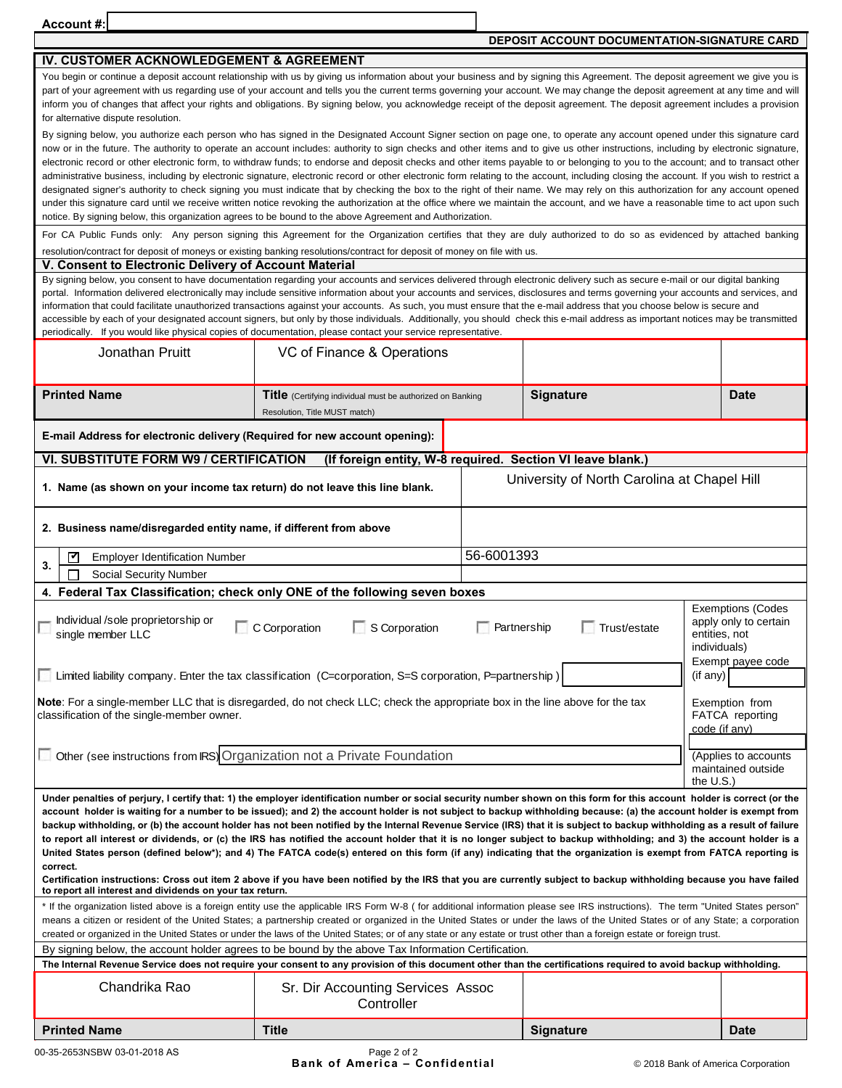Account #:

**DEPOSIT ACCOUNT DOCUMENTATION-SIGNATURE CARD** 

| IV. CUSTOMER ACKNOWLEDGEMENT & AGREEMENT                                                                                                                                                                                                                                                                                                                                                                                                                                                                                                                                                                                                                                                                                                                                                                                                        |                                                                                                         |                                                            |                  |                                    |  |  |  |  |
|-------------------------------------------------------------------------------------------------------------------------------------------------------------------------------------------------------------------------------------------------------------------------------------------------------------------------------------------------------------------------------------------------------------------------------------------------------------------------------------------------------------------------------------------------------------------------------------------------------------------------------------------------------------------------------------------------------------------------------------------------------------------------------------------------------------------------------------------------|---------------------------------------------------------------------------------------------------------|------------------------------------------------------------|------------------|------------------------------------|--|--|--|--|
| You begin or continue a deposit account relationship with us by giving us information about your business and by signing this Agreement. The deposit agreement we give you is<br>part of your agreement with us regarding use of your account and tells you the current terms governing your account. We may change the deposit agreement at any time and will<br>inform you of changes that affect your rights and obligations. By signing below, you acknowledge receipt of the deposit agreement. The deposit agreement includes a provision<br>for alternative dispute resolution.                                                                                                                                                                                                                                                          |                                                                                                         |                                                            |                  |                                    |  |  |  |  |
| By signing below, you authorize each person who has signed in the Designated Account Signer section on page one, to operate any account opened under this signature card                                                                                                                                                                                                                                                                                                                                                                                                                                                                                                                                                                                                                                                                        |                                                                                                         |                                                            |                  |                                    |  |  |  |  |
| now or in the future. The authority to operate an account includes: authority to sign checks and other items and to give us other instructions, including by electronic signature,                                                                                                                                                                                                                                                                                                                                                                                                                                                                                                                                                                                                                                                              |                                                                                                         |                                                            |                  |                                    |  |  |  |  |
| electronic record or other electronic form, to withdraw funds; to endorse and deposit checks and other items payable to or belonging to you to the account; and to transact other                                                                                                                                                                                                                                                                                                                                                                                                                                                                                                                                                                                                                                                               |                                                                                                         |                                                            |                  |                                    |  |  |  |  |
| administrative business, including by electronic signature, electronic record or other electronic form relating to the account, including closing the account. If you wish to restrict a<br>designated signer's authority to check signing you must indicate that by checking the box to the right of their name. We may rely on this authorization for any account opened                                                                                                                                                                                                                                                                                                                                                                                                                                                                      |                                                                                                         |                                                            |                  |                                    |  |  |  |  |
| under this signature card until we receive written notice revoking the authorization at the office where we maintain the account, and we have a reasonable time to act upon such                                                                                                                                                                                                                                                                                                                                                                                                                                                                                                                                                                                                                                                                |                                                                                                         |                                                            |                  |                                    |  |  |  |  |
| notice. By signing below, this organization agrees to be bound to the above Agreement and Authorization.                                                                                                                                                                                                                                                                                                                                                                                                                                                                                                                                                                                                                                                                                                                                        |                                                                                                         |                                                            |                  |                                    |  |  |  |  |
| For CA Public Funds only: Any person signing this Agreement for the Organization certifies that they are duly authorized to do so as evidenced by attached banking<br>resolution/contract for deposit of moneys or existing banking resolutions/contract for deposit of money on file with us.                                                                                                                                                                                                                                                                                                                                                                                                                                                                                                                                                  |                                                                                                         |                                                            |                  |                                    |  |  |  |  |
| V. Consent to Electronic Delivery of Account Material                                                                                                                                                                                                                                                                                                                                                                                                                                                                                                                                                                                                                                                                                                                                                                                           |                                                                                                         |                                                            |                  |                                    |  |  |  |  |
| By signing below, you consent to have documentation regarding your accounts and services delivered through electronic delivery such as secure e-mail or our digital banking<br>portal. Information delivered electronically may include sensitive information about your accounts and services, disclosures and terms governing your accounts and services, and<br>information that could facilitate unauthorized transactions against your accounts. As such, you must ensure that the e-mail address that you choose below is secure and<br>accessible by each of your designated account signers, but only by those individuals. Additionally, you should check this e-mail address as important notices may be transmitted<br>periodically. If you would like physical copies of documentation, please contact your service representative. |                                                                                                         |                                                            |                  |                                    |  |  |  |  |
| Jonathan Pruitt                                                                                                                                                                                                                                                                                                                                                                                                                                                                                                                                                                                                                                                                                                                                                                                                                                 | VC of Finance & Operations                                                                              |                                                            |                  |                                    |  |  |  |  |
| <b>Printed Name</b>                                                                                                                                                                                                                                                                                                                                                                                                                                                                                                                                                                                                                                                                                                                                                                                                                             | Title (Certifying individual must be authorized on Banking<br>Resolution, Title MUST match)             |                                                            | <b>Signature</b> | <b>Date</b>                        |  |  |  |  |
| E-mail Address for electronic delivery (Required for new account opening):                                                                                                                                                                                                                                                                                                                                                                                                                                                                                                                                                                                                                                                                                                                                                                      |                                                                                                         |                                                            |                  |                                    |  |  |  |  |
| VI. SUBSTITUTE FORM W9 / CERTIFICATION                                                                                                                                                                                                                                                                                                                                                                                                                                                                                                                                                                                                                                                                                                                                                                                                          | (If foreign entity, W-8 required. Section VI leave blank.)                                              |                                                            |                  |                                    |  |  |  |  |
| University of North Carolina at Chapel Hill<br>1. Name (as shown on your income tax return) do not leave this line blank.                                                                                                                                                                                                                                                                                                                                                                                                                                                                                                                                                                                                                                                                                                                       |                                                                                                         |                                                            |                  |                                    |  |  |  |  |
|                                                                                                                                                                                                                                                                                                                                                                                                                                                                                                                                                                                                                                                                                                                                                                                                                                                 | 2. Business name/disregarded entity name, if different from above                                       |                                                            |                  |                                    |  |  |  |  |
| ∇<br><b>Employer Identification Number</b>                                                                                                                                                                                                                                                                                                                                                                                                                                                                                                                                                                                                                                                                                                                                                                                                      |                                                                                                         | 56-6001393                                                 |                  |                                    |  |  |  |  |
| 3.<br>П<br><b>Social Security Number</b>                                                                                                                                                                                                                                                                                                                                                                                                                                                                                                                                                                                                                                                                                                                                                                                                        |                                                                                                         |                                                            |                  |                                    |  |  |  |  |
| 4. Federal Tax Classification; check only ONE of the following seven boxes                                                                                                                                                                                                                                                                                                                                                                                                                                                                                                                                                                                                                                                                                                                                                                      |                                                                                                         |                                                            |                  |                                    |  |  |  |  |
| Individual /sole proprietorship or<br>C Corporation<br>single member LLC                                                                                                                                                                                                                                                                                                                                                                                                                                                                                                                                                                                                                                                                                                                                                                        | <b>Exemptions (Codes</b><br>apply only to certain<br>entities, not<br>individuals)<br>Exempt payee code |                                                            |                  |                                    |  |  |  |  |
|                                                                                                                                                                                                                                                                                                                                                                                                                                                                                                                                                                                                                                                                                                                                                                                                                                                 | Limited liability company. Enter the tax classification (C=corporation, S=S corporation, P=partnership) |                                                            |                  | (if any)                           |  |  |  |  |
| Note: For a single-member LLC that is disregarded, do not check LLC; check the appropriate box in the line above for the tax<br>Exemption from<br>classification of the single-member owner.<br><b>FATCA</b> reporting<br>code (if any)                                                                                                                                                                                                                                                                                                                                                                                                                                                                                                                                                                                                         |                                                                                                         |                                                            |                  |                                    |  |  |  |  |
|                                                                                                                                                                                                                                                                                                                                                                                                                                                                                                                                                                                                                                                                                                                                                                                                                                                 |                                                                                                         |                                                            |                  |                                    |  |  |  |  |
| Other (see instructions from IRS) Organization not a Private Foundation                                                                                                                                                                                                                                                                                                                                                                                                                                                                                                                                                                                                                                                                                                                                                                         |                                                                                                         | (Applies to accounts<br>maintained outside<br>the $U.S.$ ) |                  |                                    |  |  |  |  |
| Under penalties of perjury, I certify that: 1) the employer identification number or social security number shown on this form for this account holder is correct (or the<br>account holder is waiting for a number to be issued); and 2) the account holder is not subject to backup withholding because: (a) the account holder is exempt from<br>backup withholding, or (b) the account holder has not been notified by the Internal Revenue Service (IRS) that it is subject to backup withholding as a result of failure                                                                                                                                                                                                                                                                                                                   |                                                                                                         |                                                            |                  |                                    |  |  |  |  |
| to report all interest or dividends, or (c) the IRS has notified the account holder that it is no longer subject to backup withholding; and 3) the account holder is a<br>United States person (defined below*); and 4) The FATCA code(s) entered on this form (if any) indicating that the organization is exempt from FATCA reporting is                                                                                                                                                                                                                                                                                                                                                                                                                                                                                                      |                                                                                                         |                                                            |                  |                                    |  |  |  |  |
| correct.<br>Certification instructions: Cross out item 2 above if you have been notified by the IRS that you are currently subject to backup withholding because you have failed<br>to report all interest and dividends on your tax return.                                                                                                                                                                                                                                                                                                                                                                                                                                                                                                                                                                                                    |                                                                                                         |                                                            |                  |                                    |  |  |  |  |
| * If the organization listed above is a foreign entity use the applicable IRS Form W-8 (for additional information please see IRS instructions). The term "United States person"                                                                                                                                                                                                                                                                                                                                                                                                                                                                                                                                                                                                                                                                |                                                                                                         |                                                            |                  |                                    |  |  |  |  |
| means a citizen or resident of the United States; a partnership created or organized in the United States or under the laws of the United States or of any State; a corporation<br>created or organized in the United States or under the laws of the United States; or of any state or any estate or trust other than a foreign estate or foreign trust.                                                                                                                                                                                                                                                                                                                                                                                                                                                                                       |                                                                                                         |                                                            |                  |                                    |  |  |  |  |
| By signing below, the account holder agrees to be bound by the above Tax Information Certification.                                                                                                                                                                                                                                                                                                                                                                                                                                                                                                                                                                                                                                                                                                                                             |                                                                                                         |                                                            |                  |                                    |  |  |  |  |
| The Internal Revenue Service does not require your consent to any provision of this document other than the certifications required to avoid backup withholding.                                                                                                                                                                                                                                                                                                                                                                                                                                                                                                                                                                                                                                                                                |                                                                                                         |                                                            |                  |                                    |  |  |  |  |
| Chandrika Rao                                                                                                                                                                                                                                                                                                                                                                                                                                                                                                                                                                                                                                                                                                                                                                                                                                   | Sr. Dir Accounting Services Assoc<br>Controller                                                         |                                                            |                  |                                    |  |  |  |  |
| <b>Printed Name</b>                                                                                                                                                                                                                                                                                                                                                                                                                                                                                                                                                                                                                                                                                                                                                                                                                             | <b>Title</b>                                                                                            |                                                            | <b>Signature</b> | <b>Date</b>                        |  |  |  |  |
| 00-35-2653NSBW 03-01-2018 AS                                                                                                                                                                                                                                                                                                                                                                                                                                                                                                                                                                                                                                                                                                                                                                                                                    | Page 2 of 2                                                                                             |                                                            |                  |                                    |  |  |  |  |
|                                                                                                                                                                                                                                                                                                                                                                                                                                                                                                                                                                                                                                                                                                                                                                                                                                                 | <b>Bank of America - Confidential</b>                                                                   |                                                            |                  | © 2018 Bank of America Corporation |  |  |  |  |